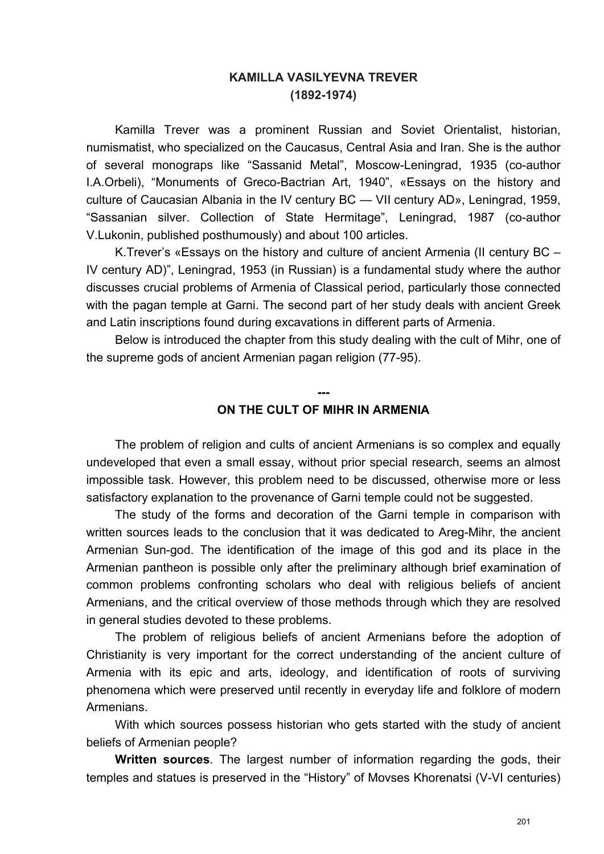## **KAMILLA VASILYEVNA TREVER (1892-1974)**

Kamilla Trever was a prominent Russian and Soviet Orientalist, historian, numismatist, who specialized on the Caucasus, Central Asia and Iran. She is the author of several monograps like "Sassanid Metal", Moscow-Leningrad, 1935 (co-author I.A.Orbeli), "Monuments of Greco-Bactrian Art, 1940", «Essays on the history and culture of Caucasian Albania in the IV century BC — VII century AD», Leningrad, 1959, "Sassanian silver. Collection of State Hermitage", Leningrad, 1987 (co-author V.Lukonin, published posthumously) and about 100 articles.

K.Trever's «Essays on the history and culture of ancient Armenia (II century BC – IV century AD)", Leningrad, 1953 (in Russian) is a fundamental study where the author discusses crucial problems of Armenia of Classical period, particularly those connected with the pagan temple at Garni. The second part of her study deals with ancient Greek and Latin inscriptions found during excavations in different parts of Armenia.

Below is introduced the chapter from this study dealing with the cult of Mihr, one of the supreme gods of ancient Armenian pagan religion (77-95).

## **--- ON THE CULT OF MIHR IN ARMENIA**

The problem of religion and cults of ancient Armenians is so complex and equally undeveloped that even a small essay, without prior special research, seems an almost impossible task. However, this problem need to be discussed, otherwise more or less satisfactory explanation to the provenance of Garni temple could not be suggested.

The study of the forms and decoration of the Garni temple in comparison with written sources leads to the conclusion that it was dedicated to Areg-Mihr, the ancient Armenian Sun-god. The identification of the image of this god and its place in the Armenian pantheon is possible only after the preliminary although brief examination of common problems confronting scholars who deal with religious beliefs of ancient Armenians, and the critical overview of those methods through which they are resolved in general studies devoted to these problems.

The problem of religious beliefs of ancient Armenians before the adoption of Christianity is very important for the correct understanding of the ancient culture of Armenia with its epic and arts, ideology, and identification of roots of surviving phenomena which were preserved until recently in everyday life and folklore of modern Armenians.

With which sources possess historian who gets started with the study of ancient beliefs of Armenian people?

**Written sources**. The largest number of information regarding the gods, their temples and statues is preserved in the "History" of Movses Khorenatsi (V-VI centuries)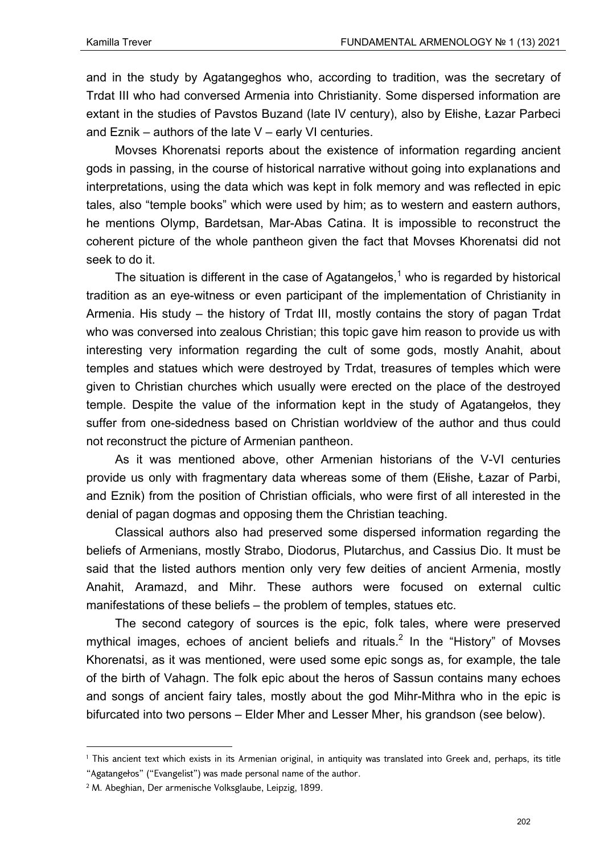and in the study by Agatangeghos who, according to tradition, was the secretary of Trdat III who had conversed Armenia into Christianity. Some dispersed information are extant in the studies of Pavstos Buzand (late IV century), also by Ełishe, Łazar Parbeci and Eznik – authors of the late V – early VI centuries.

Movses Khorenatsi reports about the existence of information regarding ancient gods in passing, in the course of historical narrative without going into explanations and interpretations, using the data which was kept in folk memory and was reflected in epic tales, also "temple books" which were used by him; as to western and eastern authors, he mentions Olymp, Bardetsan, Mar-Abas Catina. It is impossible to reconstruct the coherent picture of the whole pantheon given the fact that Movses Khorenatsi did not seek to do it.

The situation is different in the case of Agatangelos,<sup>1</sup> who is regarded by historical tradition as an eye-witness or even participant of the implementation of Christianity in Armenia. His study – the history of Trdat III, mostly contains the story of pagan Trdat who was conversed into zealous Christian; this topic gave him reason to provide us with interesting very information regarding the cult of some gods, mostly Anahit, about temples and statues which were destroyed by Trdat, treasures of temples which were given to Christian churches which usually were erected on the place of the destroyed temple. Despite the value of the information kept in the study of Agatangełos, they suffer from one-sidedness based on Christian worldview of the author and thus could not reconstruct the picture of Armenian pantheon.

As it was mentioned above, other Armenian historians of the V-VI centuries provide us only with fragmentary data whereas some of them (Ełishe, Łazar of Parbi, and Eznik) from the position of Christian officials, who were first of all interested in the denial of pagan dogmas and opposing them the Christian teaching.

Classical authors also had preserved some dispersed information regarding the beliefs of Armenians, mostly Strabo, Diodorus, Plutarchus, and Cassius Dio. It must be said that the listed authors mention only very few deities of ancient Armenia, mostly Anahit, Aramazd, and Mihr. These authors were focused on external cultic manifestations of these beliefs – the problem of temples, statues etc.

The second category of sources is the epic, folk tales, where were preserved mythical images, echoes of ancient beliefs and rituals.<sup>2</sup> In the "History" of Movses Khorenatsi, as it was mentioned, were used some epic songs as, for example, the tale of the birth of Vahagn. The folk epic about the heros of Sassun contains many echoes and songs of ancient fairy tales, mostly about the god Mihr-Mithra who in the epic is bifurcated into two persons – Elder Mher and Lesser Mher, his grandson (see below).

<sup>1</sup> This ancient text which exists in its Armenian original, in antiquity was translated into Greek and, perhaps, its title "Agatangełos" ("Evangelist") was made personal name of the author.

<sup>2</sup> М. Abeghian, Der armenische Volksglaube, Leipzig, 1899.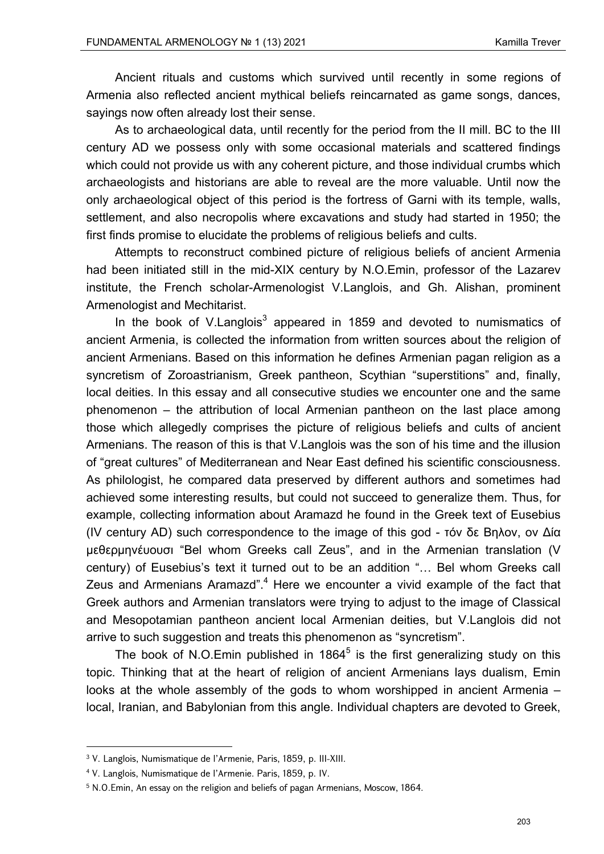Ancient rituals and customs which survived until recently in some regions of Armenia also reflected ancient mythical beliefs reincarnated as game songs, dances, sayings now often already lost their sense.

As to archaeological data, until recently for the period from the II mill. BC to the III century AD we possess only with some occasional materials and scattered findings which could not provide us with any coherent picture, and those individual crumbs which archaeologists and historians are able to reveal are the more valuable. Until now the only archaeological object of this period is the fortress of Garni with its temple, walls, settlement, and also necropolis where excavations and study had started in 1950; the first finds promise to elucidate the problems of religious beliefs and cults.

Attempts to reconstruct combined picture of religious beliefs of ancient Armenia had been initiated still in the mid-XIX century by N.O.Emin, professor of the Lazarev institute, the French scholar-Armenologist V.Langlois, and Gh. Alishan, prominent Armenologist and Mechitarist.

In the book of V.Langlois<sup>3</sup> appeared in 1859 and devoted to numismatics of ancient Armenia, is collected the information from written sources about the religion of ancient Armenians. Based on this information he defines Armenian pagan religion as a syncretism of Zoroastrianism, Greek pantheon, Scythian "superstitions" and, finally, local deities. In this essay and all consecutive studies we encounter one and the same phenomenon – the attribution of local Armenian pantheon on the last place among those which allegedly comprises the picture of religious beliefs and cults of ancient Armenians. The reason of this is that V.Langlois was the son of his time and the illusion of "great cultures" of Mediterranean and Near East defined his scientific consciousness. As philologist, he compared data preserved by different authors and sometimes had achieved some interesting results, but could not succeed to generalize them. Thus, for example, collecting information about Aramazd he found in the Greek text of Eusebius (IV century AD) such correspondence to the image of this god - τόν δε Βηλον, ον Δία μεθερμηνέυουσι "Bel whom Greeks call Zeus", and in the Armenian translation (V century) of Eusebius's text it turned out to be an addition "… Bel whom Greeks call Zeus and Armenians Aramazd".<sup>4</sup> Here we encounter a vivid example of the fact that Greek authors and Armenian translators were trying to adjust to the image of Classical and Mesopotamian pantheon ancient local Armenian deities, but V.Langlois did not arrive to such suggestion and treats this phenomenon as "syncretism".

The book of N.O.Emin published in 1864 $5$  is the first generalizing study on this topic. Thinking that at the heart of religion of ancient Armenians lays dualism, Emin looks at the whole assembly of the gods to whom worshipped in ancient Armenia – local, Iranian, and Babylonian from this angle. Individual chapters are devoted to Greek,

<sup>3</sup> V. Langlоis, Numismatique de l'Armenie, Paris, 1859, p. III-XIII.

<sup>4</sup> V. Langlоis, Numismatique de l'Armenie. Paris, 1859, p. IV.

<sup>5</sup> N.O.Emin, An essay on the religion and beliefs of pagan Armenians, Moscow, 1864.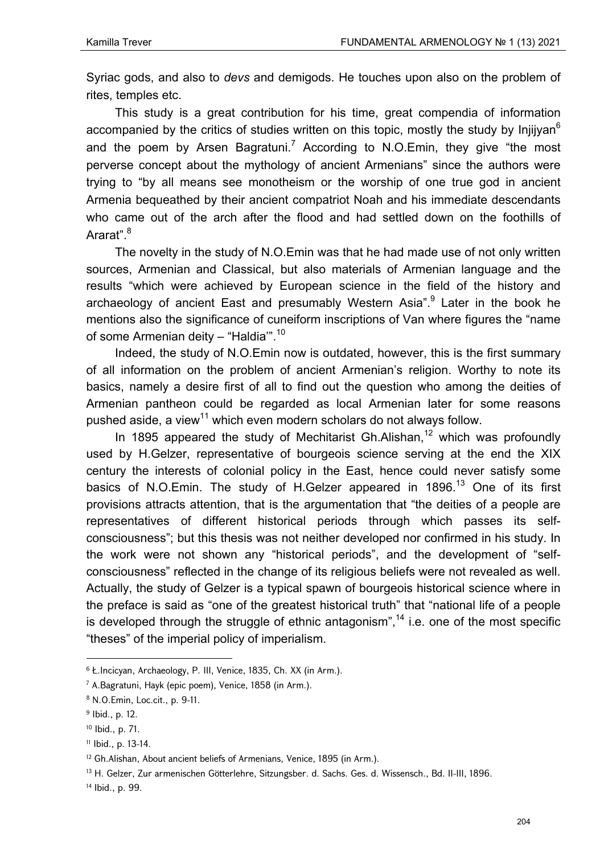Syriac gods, and also to *devs* and demigods. He touches upon also on the problem of rites, temples etc.

This study is a great contribution for his time, great compendia of information accompanied by the critics of studies written on this topic, mostly the study by Injijyan<sup>6</sup> and the poem by Arsen Bagratuni.<sup>7</sup> According to N.O.Emin, they give "the most perverse concept about the mythology of ancient Armenians" since the authors were trying to "by all means see monotheism or the worship of one true god in ancient Armenia bequeathed by their ancient compatriot Noah and his immediate descendants who came out of the arch after the flood and had settled down on the foothills of Ararat".<sup>8</sup>

The novelty in the study of N.O.Emin was that he had made use of not only written sources, Armenian and Classical, but also materials of Armenian language and the results "which were achieved by European science in the field of the history and archaeology of ancient East and presumably Western Asia".<sup>9</sup> Later in the book he mentions also the significance of cuneiform inscriptions of Van where figures the "name of some Armenian deity - "Haldia"<sup>10</sup>

Indeed, the study of N.O.Emin now is outdated, however, this is the first summary of all information on the problem of ancient Armenian's religion. Worthy to note its basics, namely a desire first of all to find out the question who among the deities of Armenian pantheon could be regarded as local Armenian later for some reasons pushed aside, a view<sup>11</sup> which even modern scholars do not always follow.

In 1895 appeared the study of Mechitarist Gh. Alishan,  $12$  which was profoundly used by H.Gelzer, representative of bourgeois science serving at the end the XIX century the interests of colonial policy in the East, hence could never satisfy some basics of N.O.Emin. The study of H.Gelzer appeared in 1896.<sup>13</sup> One of its first provisions attracts attention, that is the argumentation that "the deities of a people are representatives of different historical periods through which passes its selfconsciousness"; but this thesis was not neither developed nor confirmed in his study. In the work were not shown any "historical periods", and the development of "selfconsciousness" reflected in the change of its religious beliefs were not revealed as well. Actually, the study of Gelzer is a typical spawn of bourgeois historical science where in the preface is said as "one of the greatest historical truth" that "national life of a people is developed through the struggle of ethnic antagonism",<sup>14</sup> i.e. one of the most specific "theses" of the imperial policy of imperialism.

<sup>6</sup> Ł.Incicyan, Archaeology, P. III, Venice, 1835, Ch. XX (in Arm.).

<sup>7</sup> A.Bagratuni, Hayk (epic poem), Venice, 1858 (in Arm.).

<sup>8</sup> N.O.Emin, Loc.cit., p. 9-11.

<sup>9</sup> Ibid., p. 12.

<sup>10</sup> Ibid., p. 71.

<sup>11</sup> Ibid., p. 13-14.

<sup>&</sup>lt;sup>12</sup> Gh.Alishan, About ancient beliefs of Armenians, Venice, 1895 (in Arm.).

<sup>13</sup> H. Gelzеr, Zur armenischen Götterlehre, Sitzungsber. d. Sachs. Ges. d. Wissensch., Bd. II-III, 1896.

<sup>14</sup> Ibid., p. 99.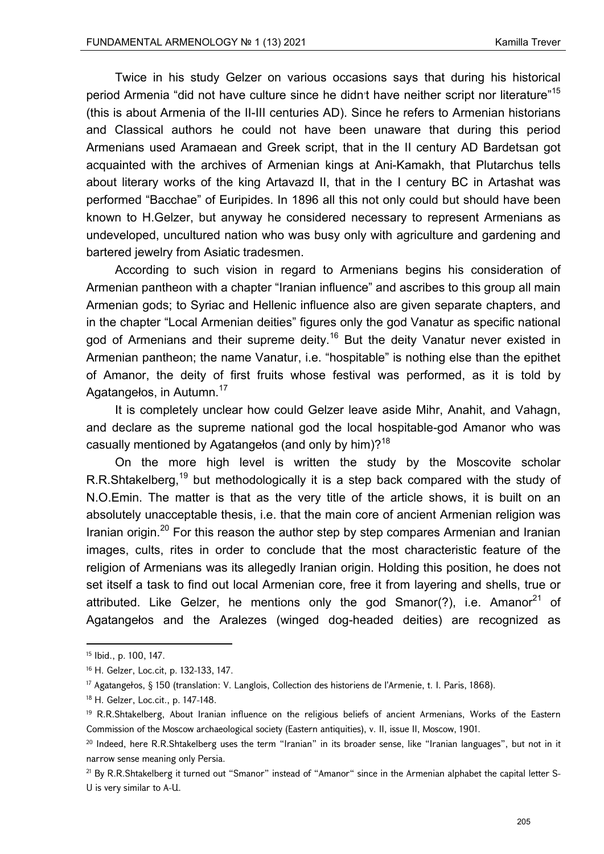Twice in his study Gelzer on various occasions says that during his historical period Armenia "did not have culture since he didn<sup>t</sup> have neither script nor literature"<sup>15</sup> (this is about Armenia of the II-III centuries AD). Since he refers to Armenian historians and Classical authors he could not have been unaware that during this period Armenians used Aramaean and Greek script, that in the II century AD Bardetsan got acquainted with the archives of Armenian kings at Ani-Kamakh, that Plutarchus tells about literary works of the king Artavazd II, that in the I century BC in Artashat was performed "Bacchae" of Euripides. In 1896 all this not only could but should have been known to H.Gelzer, but anyway he considered necessary to represent Armenians as undeveloped, uncultured nation who was busy only with agriculture and gardening and bartered jewelry from Asiatic tradesmen.

According to such vision in regard to Armenians begins his consideration of Armenian pantheon with a chapter "Iranian influence" and ascribes to this group all main Armenian gods; to Syriac and Hellenic influence also are given separate chapters, and in the chapter "Local Armenian deities" figures only the god Vanatur as specific national god of Armenians and their supreme deity.<sup>16</sup> But the deity Vanatur never existed in Armenian pantheon; the name Vanatur, i.e. "hospitable" is nothing else than the epithet of Amanor, the deity of first fruits whose festival was performed, as it is told by Agatangelos, in Autumn.<sup>17</sup>

It is completely unclear how could Gelzer leave aside Mihr, Anahit, and Vahagn, and declare as the supreme national god the local hospitable-god Amanor who was casually mentioned by Agatangelos (and only by him)?<sup>18</sup>

On the more high level is written the study by the Moscovite scholar R.R.Shtakelberg,<sup>19</sup> but methodologically it is a step back compared with the study of N.O.Emin. The matter is that as the very title of the article shows, it is built on an absolutely unacceptable thesis, i.e. that the main core of ancient Armenian religion was Iranian origin.<sup>20</sup> For this reason the author step by step compares Armenian and Iranian images, cults, rites in order to conclude that the most characteristic feature of the religion of Armenians was its allegedly Iranian origin. Holding this position, he does not set itself a task to find out local Armenian core, free it from layering and shells, true or attributed. Like Gelzer, he mentions only the god Smanor(?), i.e. Amanor<sup>21</sup> of Agatangełos and the Aralezes (winged dog-headed deities) are recognized as

<sup>15</sup> Ibid., p. 100, 147.

<sup>16</sup> H. Gelzer, Loc.cit, p. 132-133, 147.

<sup>17</sup> Agatangełos, § 150 (translation: V. Langlоis, Collection des historiens de l'Armenie, t. I. Paris, 1868).

<sup>18</sup> H. Gelzer, Loc.cit., p. 147-148.

<sup>&</sup>lt;sup>19</sup> R.R.Shtakelberg, About Iranian influence on the religious beliefs of ancient Armenians, Works of the Eastern Commission of the Moscow archaeological society (Eastern antiquities), v. II, issue II, Moscow, 1901.

<sup>&</sup>lt;sup>20</sup> Indeed, here R.R.Shtakelberg uses the term "Iranian" in its broader sense, like "Iranian languages", but not in it narrow sense meaning only Persia.

<sup>&</sup>lt;sup>21</sup> By R.R.Shtakelberg it turned out "Smanor" instead of "Amanor" since in the Armenian alphabet the capital letter S-Ս is very similar to А-Ա.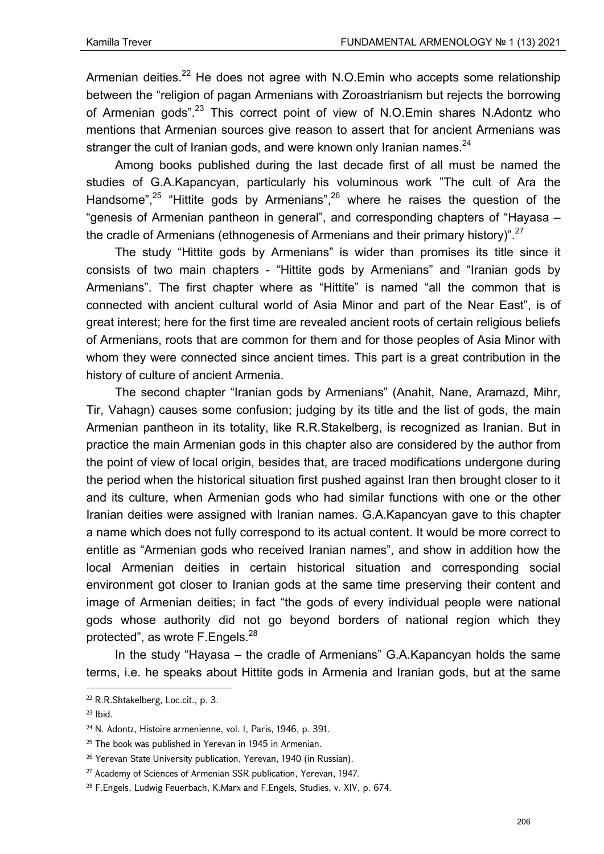Armenian deities.<sup>22</sup> He does not agree with N.O.Emin who accepts some relationship between the "religion of pagan Armenians with Zoroastrianism but rejects the borrowing of Armenian gods".<sup>23</sup> This correct point of view of N.O.Emin shares N.Adontz who mentions that Armenian sources give reason to assert that for ancient Armenians was stranger the cult of Iranian gods, and were known only Iranian names. $^{24}$ 

Among books published during the last decade first of all must be named the studies of G.A.Kapancyan, particularly his voluminous work "The cult of Ara the Handsome",<sup>25</sup> "Hittite gods by Armenians",<sup>26</sup> where he raises the question of the "genesis of Armenian pantheon in general", and corresponding chapters of "Hayasa – the cradle of Armenians (ethnogenesis of Armenians and their primary history)".<sup>27</sup>

The study "Hittite gods by Armenians" is wider than promises its title since it consists of two main chapters - "Hittite gods by Armenians" and "Iranian gods by Armenians". The first chapter where as "Hittite" is named "all the common that is connected with ancient cultural world of Asia Minor and part of the Near East", is of great interest; here for the first time are revealed ancient roots of certain religious beliefs of Armenians, roots that are common for them and for those peoples of Asia Minor with whom they were connected since ancient times. This part is a great contribution in the history of culture of ancient Armenia.

The second chapter "Iranian gods by Armenians" (Anahit, Nane, Aramazd, Mihr, Tir, Vahagn) causes some confusion; judging by its title and the list of gods, the main Armenian pantheon in its totality, like R.R.Stakelberg, is recognized as Iranian. But in practice the main Armenian gods in this chapter also are considered by the author from the point of view of local origin, besides that, are traced modifications undergone during the period when the historical situation first pushed against Iran then brought closer to it and its culture, when Armenian gods who had similar functions with one or the other Iranian deities were assigned with Iranian names. G.A.Kapancyan gave to this chapter a name which does not fully correspond to its actual content. It would be more correct to entitle as "Armenian gods who received Iranian names", and show in addition how the local Armenian deities in certain historical situation and corresponding social environment got closer to Iranian gods at the same time preserving their content and image of Armenian deities; in fact "the gods of every individual people were national gods whose authority did not go beyond borders of national region which they protected", as wrote F.Engels.<sup>28</sup>

In the study "Hayasa – the cradle of Armenians" G.A.Kapancyan holds the same terms, i.e. he speaks about Hittite gods in Armenia and Iranian gods, but at the same

<sup>22</sup> R.R.Shtakelberg, Loc.cit., p. 3.

 $23$  Ibid.

<sup>24</sup> N. Adontz, Histoire armenienne, vol. I, Paris, 1946, p. 391.

<sup>&</sup>lt;sup>25</sup> The book was published in Yerevan in 1945 in Armenian.

<sup>&</sup>lt;sup>26</sup> Yerevan State University publication, Yerevan, 1940 (in Russian).

<sup>&</sup>lt;sup>27</sup> Academy of Sciences of Armenian SSR publication, Yerevan, 1947.

<sup>&</sup>lt;sup>28</sup> F.Engels, Ludwig Feuerbach, K.Marx and F.Engels, Studies, v. XIV, p. 674.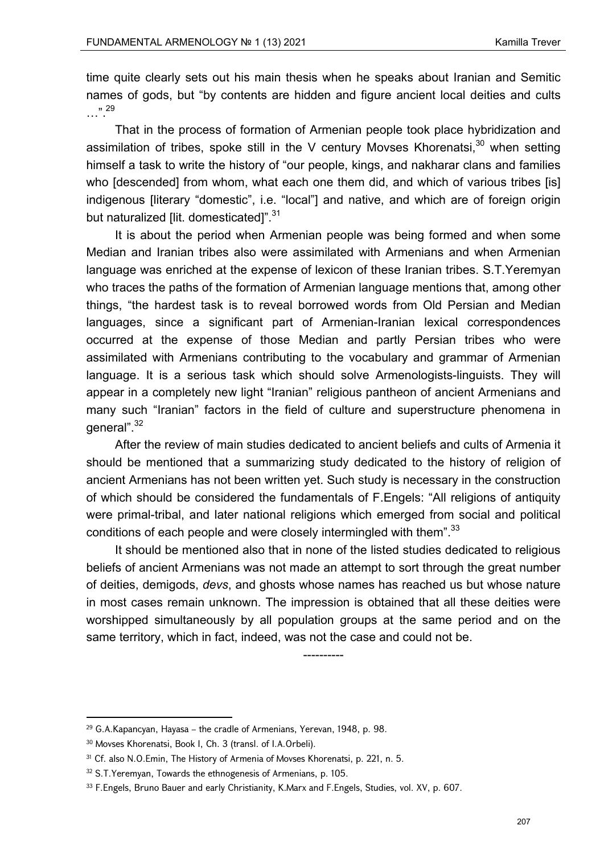time quite clearly sets out his main thesis when he speaks about Iranian and Semitic names of gods, but "by contents are hidden and figure ancient local deities and cults …".29

That in the process of formation of Armenian people took place hybridization and assimilation of tribes, spoke still in the V century Movses Khorenatsi,  $30$  when setting himself a task to write the history of "our people, kings, and nakharar clans and families who [descended] from whom, what each one them did, and which of various tribes [is] indigenous [literary "domestic", i.e. "local"] and native, and which are of foreign origin but naturalized [lit. domesticated]".<sup>31</sup>

It is about the period when Armenian people was being formed and when some Median and Iranian tribes also were assimilated with Armenians and when Armenian language was enriched at the expense of lexicon of these Iranian tribes. S.T.Yeremyan who traces the paths of the formation of Armenian language mentions that, among other things, "the hardest task is to reveal borrowed words from Old Persian and Median languages, since a significant part of Armenian-Iranian lexical correspondences occurred at the expense of those Median and partly Persian tribes who were assimilated with Armenians contributing to the vocabulary and grammar of Armenian language. It is a serious task which should solve Armenologists-linguists. They will appear in a completely new light "Iranian" religious pantheon of ancient Armenians and many such "Iranian" factors in the field of culture and superstructure phenomena in general".<sup>32</sup>

After the review of main studies dedicated to ancient beliefs and cults of Armenia it should be mentioned that a summarizing study dedicated to the history of religion of ancient Armenians has not been written yet. Such study is necessary in the construction of which should be considered the fundamentals of F.Engels: "All religions of antiquity were primal-tribal, and later national religions which emerged from social and political conditions of each people and were closely intermingled with them".<sup>33</sup>

It should be mentioned also that in none of the listed studies dedicated to religious beliefs of ancient Armenians was not made an attempt to sort through the great number of deities, demigods, *devs*, and ghosts whose names has reached us but whose nature in most cases remain unknown. The impression is obtained that all these deities were worshipped simultaneously by all population groups at the same period and on the same territory, which in fact, indeed, was not the case and could not be.

----------

<sup>29</sup> G.A.Kapancyan, Hayasa – the cradle of Armenians, Yerevan, 1948, p. 98.

<sup>30</sup> Movses Khorenatsi, Book I, Ch. 3 (transl. of I.A.Orbeli).

<sup>&</sup>lt;sup>31</sup> Cf. also N.O.Emin, The History of Armenia of Movses Khorenatsi, p. 221, n. 5.

<sup>&</sup>lt;sup>32</sup> S.T.Yeremyan, Towards the ethnogenesis of Armenians, p. 105.

<sup>33</sup> F.Engels, Bruno Bauer and early Christianity, K.Marx and F.Engels, Studies, vol. XV, p. 607.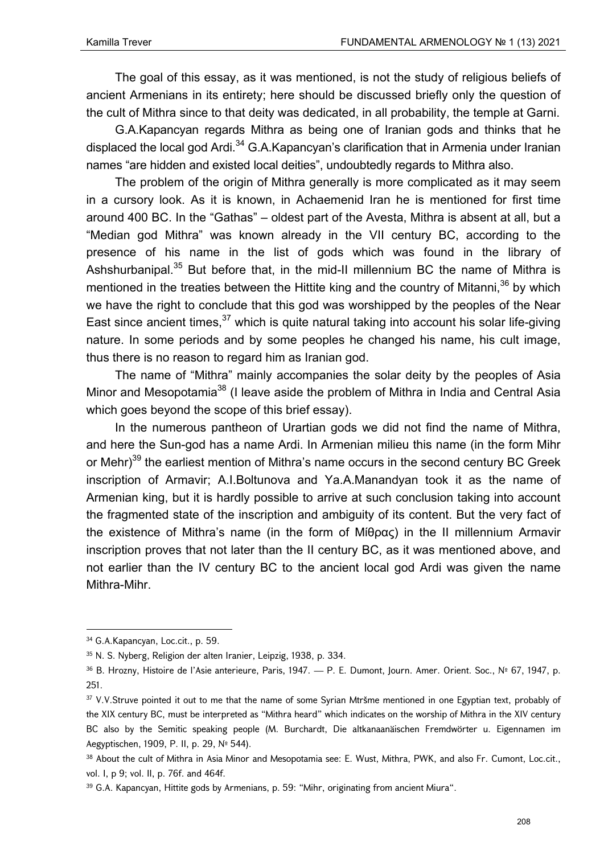The goal of this essay, as it was mentioned, is not the study of religious beliefs of ancient Armenians in its entirety; here should be discussed briefly only the question of the cult of Mithra since to that deity was dedicated, in all probability, the temple at Garni.

G.A.Kapancyan regards Mithra as being one of Iranian gods and thinks that he displaced the local god Ardi.<sup>34</sup> G.A.Kapancyan's clarification that in Armenia under Iranian names "are hidden and existed local deities", undoubtedly regards to Mithra also.

The problem of the origin of Mithra generally is more complicated as it may seem in a cursory look. As it is known, in Achaemenid Iran he is mentioned for first time around 400 BC. In the "Gathas" – oldest part of the Avesta, Mithra is absent at all, but a "Median god Mithra" was known already in the VII century BC, according to the presence of his name in the list of gods which was found in the library of Ashshurbanipal.<sup>35</sup> But before that, in the mid-II millennium BC the name of Mithra is mentioned in the treaties between the Hittite king and the country of Mitanni,  $36$  by which we have the right to conclude that this god was worshipped by the peoples of the Near East since ancient times,  $37$  which is quite natural taking into account his solar life-giving nature. In some periods and by some peoples he changed his name, his cult image, thus there is no reason to regard him as Iranian god.

The name of "Mithra" mainly accompanies the solar deity by the peoples of Asia Minor and Mesopotamia<sup>38</sup> (I leave aside the problem of Mithra in India and Central Asia which goes beyond the scope of this brief essay).

In the numerous pantheon of Urartian gods we did not find the name of Mithra, and here the Sun-god has a name Ardi. In Armenian milieu this name (in the form Mihr or Mehr)<sup>39</sup> the earliest mention of Mithra's name occurs in the second century BC Greek inscription of Armavir; A.I.Boltunova and Ya.A.Manandyan took it as the name of Armenian king, but it is hardly possible to arrive at such conclusion taking into account the fragmented state of the inscription and ambiguity of its content. But the very fact of the existence of Mithra's name (in the form of Μίθρας) in the II millennium Armavir inscription proves that not later than the II century BC, as it was mentioned above, and not earlier than the IV century BC to the ancient local god Ardi was given the name Mithra-Mihr.

 34 G.A.Kapancyan, Loc.cit., p. 59.

<sup>35</sup> Ν. S. Nуbeгg, Religion der alten Iranier, Leipzig, 1938, p. 334.

<sup>&</sup>lt;sup>36</sup> B. Hrozny, Histoire de l'Asie anterieure, Paris, 1947. — P. E. Dumont, Journ. Amer. Orient. Soc., № 67, 1947, p. 251.

<sup>&</sup>lt;sup>37</sup> V.V.Struve pointed it out to me that the name of some Syrian Mtršme mentioned in one Egyptian text, probably of the XIX century BC, must be interpreted as "Mithra heard" which indicates on the worship of Mithra in the XIV century BC also by the Semitic speaking people (М. Burchardt, Die altkanaanäischen Fremdwörter u. Eigennamen im Aegyptischen, 1909, P. II, p. 29, № 544).

<sup>38</sup> About the cult of Mithra in Asia Minor and Mesopotamia see: E. Wust, Mithra, PWK, and also Fr. Cumont, Loc.cit., vol. I, p 9; vol. II, p. 76f. and 464f.

<sup>&</sup>lt;sup>39</sup> G.A. Kapancyan, Hittite gods by Armenians, p. 59: "Mihr, originating from ancient Miura".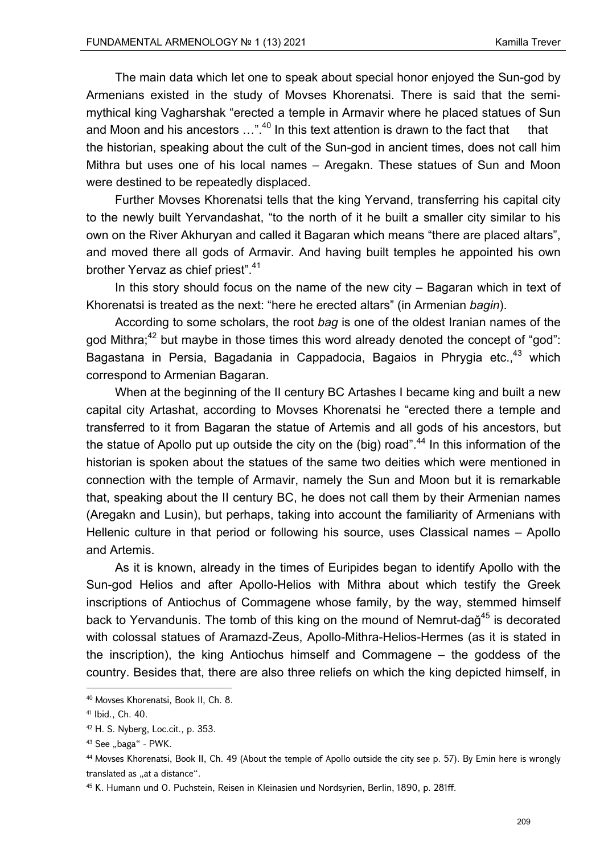The main data which let one to speak about special honor enjoyed the Sun-god by Armenians existed in the study of Movses Khorenatsi. There is said that the semimythical king Vagharshak "erected a temple in Armavir where he placed statues of Sun and Moon and his ancestors  $\ldots$ ".<sup>40</sup> In this text attention is drawn to the fact that that the historian, speaking about the cult of the Sun-god in ancient times, does not call him Mithra but uses one of his local names – Aregakn. These statues of Sun and Moon were destined to be repeatedly displaced.

Further Movses Khorenatsi tells that the king Yervand, transferring his capital city to the newly built Yervandashat, "to the north of it he built a smaller city similar to his own on the River Akhuryan and called it Bagaran which means "there are placed altars", and moved there all gods of Armavir. And having built temples he appointed his own brother Yervaz as chief priest".<sup>41</sup>

In this story should focus on the name of the new city – Bagaran which in text of Khorenatsi is treated as the next: "here he erected altars" (in Armenian *bagin*).

According to some scholars, the root *bag* is one of the oldest Iranian names of the god Mithra;<sup>42</sup> but maybe in those times this word already denoted the concept of "god": Bagastana in Persia, Bagadania in Cappadocia, Bagaios in Phrygia etc.,<sup>43</sup> which correspond to Armenian Bagaran.

When at the beginning of the II century BC Artashes I became king and built a new capital city Artashat, according to Movses Khorenatsi he "erected there a temple and transferred to it from Bagaran the statue of Artemis and all gods of his ancestors, but the statue of Apollo put up outside the city on the (big) road".<sup>44</sup> In this information of the historian is spoken about the statues of the same two deities which were mentioned in connection with the temple of Armavir, namely the Sun and Moon but it is remarkable that, speaking about the II century BC, he does not call them by their Armenian names (Aregakn and Lusin), but perhaps, taking into account the familiarity of Armenians with Hellenic culture in that period or following his source, uses Classical names – Apollo and Artemis.

As it is known, already in the times of Euripides began to identify Apollo with the Sun-god Helios and after Apollo-Helios with Mithra about which testify the Greek inscriptions of Antiochus of Commagene whose family, by the way, stemmed himself back to Yervandunis. The tomb of this king on the mound of Nemrut-dağ<sup>45</sup> is decorated with colossal statues of Aramazd-Zeus, Apollo-Mithra-Helios-Hermes (as it is stated in the inscription), the king Antiochus himself and Commagene – the goddess of the country. Besides that, there are also three reliefs on which the king depicted himself, in

 40 Movses Khorenatsi, Book II, Ch. 8.

<sup>41</sup> Ibid., Ch. 40.

<sup>42</sup> H. S. Nуbеrg, Loc.cit., p. 353.

 $43$  See "baga" - PWK.

<sup>44</sup> Movses Khorenatsi, Book II, Ch. 49 (About the temple of Apollo outside the city see p. 57). By Emin here is wrongly translated as "at a distance".

<sup>45</sup> K. Humann und О. Puchstein, Reisen in Kleinasien und Nordsyrien, Berlin, 1890, p. 281ff.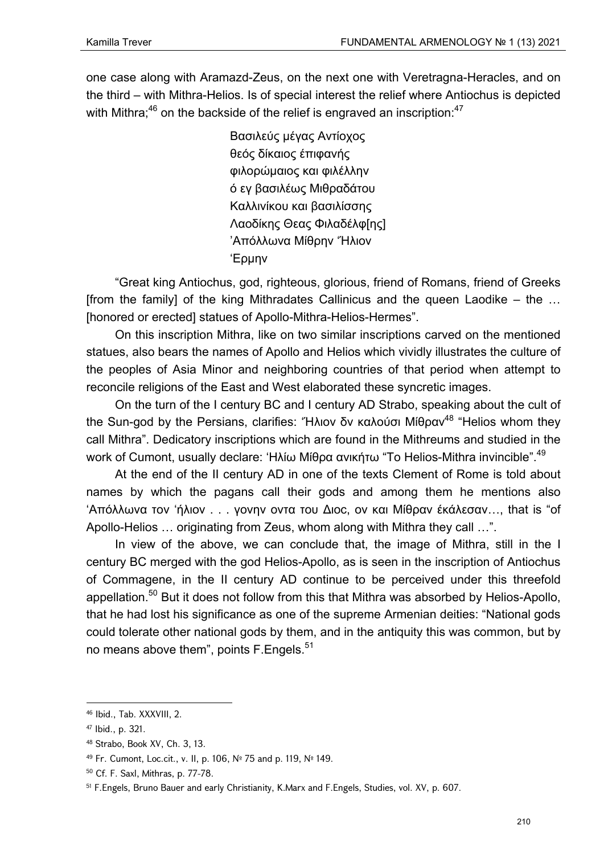one case along with Aramazd-Zeus, on the next one with Veretragna-Heracles, and on the third – with Mithra-Helios. Is of special interest the relief where Antiochus is depicted with Mithra: $46$  on the backside of the relief is engraved an inscription: $47$ 

> Βασιλεύς μέγας Αντίοχος θεός δίκαιος έπιφανής φιλορώμαιος και φιλέλλην ό εγ βασιλέως Μιθραδάτου Καλλινίκου και βασιλίσσης Λαοδίκης Θεας Φιλαδέλφ[ης] 'Απόλλωνα Μίθρην 'Ήλιον 'Eρμην

"Great king Antiochus, god, righteous, glorious, friend of Romans, friend of Greeks [from the family] of the king Mithradates Callinicus and the queen Laodike  $-$  the ... [honored or erected] statues of Apollo-Mithra-Helios-Hermes".

On this inscription Mithra, like on two similar inscriptions carved on the mentioned statues, also bears the names of Apollo and Helios which vividly illustrates the culture of the peoples of Asia Minor and neighboring countries of that period when attempt to reconcile religions of the East and West elaborated these syncretic images.

On the turn of the I century BC and I century AD Strabo, speaking about the cult of the Sun-god by the Persians, clarifies: "Ηλιον δν καλούσι Μίθραν<sup>48</sup> "Helios whom they call Mithra". Dedicatory inscriptions which are found in the Mithreums and studied in the work of Cumont, usually declare: 'Ηλίω Μίθρα ανικήτω "To Helios-Mithra invincible".<sup>49</sup>

At the end of the II century AD in one of the texts Clement of Rome is told about names by which the pagans call their gods and among them he mentions also 'Απόλλωνα τον 'ήλιον . . . γονην οντα του Διoc, ον και Μίθραν έκάλεσαν…, that is "of Apollo-Helios … originating from Zeus, whom along with Mithra they call …".

In view of the above, we can conclude that, the image of Mithra, still in the I century BC merged with the god Helios-Apollo, as is seen in the inscription of Antiochus of Commagene, in the II century AD continue to be perceived under this threefold appellation.<sup>50</sup> But it does not follow from this that Mithra was absorbed by Helios-Apollo, that he had lost his significance as one of the supreme Armenian deities: "National gods could tolerate other national gods by them, and in the antiquity this was common, but by no means above them", points F. Engels.<sup>51</sup>

<sup>46</sup> Ibid., Tab. XXXVIII, 2.

<sup>47</sup> Ibid., p. 321.

<sup>48</sup> Strabo, Book XV, Ch. 3, 13.

<sup>49</sup> Fr. Сumоnt, Loc.cit., v. II, p. 106, № 75 and p. 119, № 149.

<sup>50</sup> Cf. F. Saxl, Mithras, p. 77-78.

<sup>51</sup> F.Engels, Bruno Bauer and early Christianity, K.Marx and F.Engels, Studies, vol. XV, p. 607.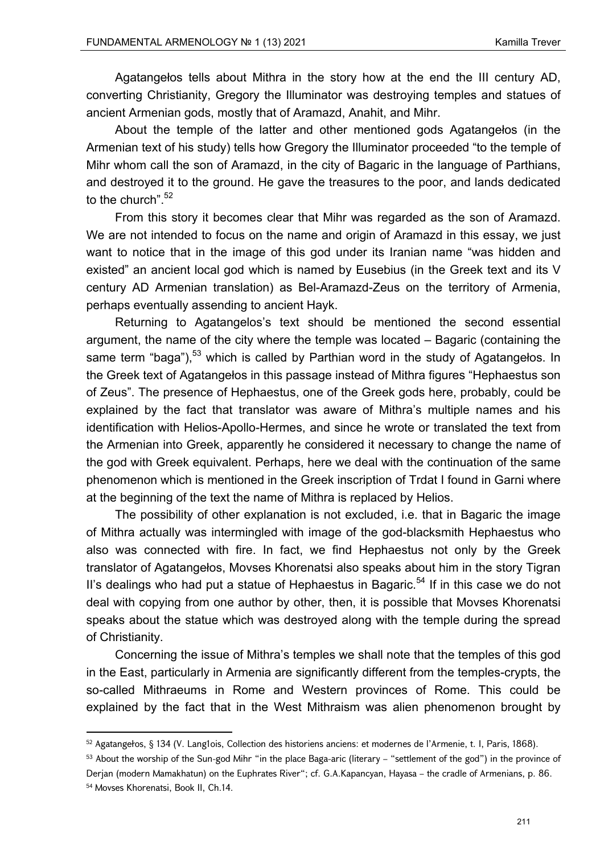Agatangełos tells about Mithra in the story how at the end the III century AD, converting Christianity, Gregory the Illuminator was destroying temples and statues of ancient Armenian gods, mostly that of Aramazd, Anahit, and Mihr.

About the temple of the latter and other mentioned gods Agatangełos (in the Armenian text of his study) tells how Gregory the Illuminator proceeded "to the temple of Mihr whom call the son of Aramazd, in the city of Bagaric in the language of Parthians, and destroyed it to the ground. He gave the treasures to the poor, and lands dedicated to the church".<sup>52</sup>

From this story it becomes clear that Mihr was regarded as the son of Aramazd. We are not intended to focus on the name and origin of Aramazd in this essay, we just want to notice that in the image of this god under its Iranian name "was hidden and existed" an ancient local god which is named by Eusebius (in the Greek text and its V century AD Armenian translation) as Bel-Aramazd-Zeus on the territory of Armenia, perhaps eventually assending to ancient Hayk.

Returning to Agatangelos's text should be mentioned the second essential argument, the name of the city where the temple was located – Bagaric (containing the same term "baga"),<sup>53</sup> which is called by Parthian word in the study of Agatangelos. In the Greek text of Agatangełos in this passage instead of Mithra figures "Hephaestus son of Zeus". The presence of Hephaestus, one of the Greek gods here, probably, could be explained by the fact that translator was aware of Mithra's multiple names and his identification with Helios-Apollo-Hermes, and since he wrote or translated the text from the Armenian into Greek, apparently he considered it necessary to change the name of the god with Greek equivalent. Perhaps, here we deal with the continuation of the same phenomenon which is mentioned in the Greek inscription of Trdat I found in Garni where at the beginning of the text the name of Mithra is replaced by Helios.

The possibility of other explanation is not excluded, i.e. that in Bagaric the image of Mithra actually was intermingled with image of the god-blacksmith Hephaestus who also was connected with fire. In fact, we find Hephaestus not only by the Greek translator of Agatangełos, Movses Khorenatsi also speaks about him in the story Tigran II's dealings who had put a statue of Hephaestus in Bagaric.<sup>54</sup> If in this case we do not deal with copying from one author by other, then, it is possible that Movses Khorenatsi speaks about the statue which was destroyed along with the temple during the spread of Christianity.

Concerning the issue of Mithra's temples we shall note that the temples of this god in the East, particularly in Armenia are significantly different from the temples-crypts, the so-called Mithraeums in Rome and Western provinces of Rome. This could be explained by the fact that in the West Mithraism was alien phenomenon brought by

<sup>52</sup> Agatangełos, § 134 (V. Lang1оis, Collection des historiens anciens: et modernes de l'Armenie, t. I, Paris, 1868).

<sup>53</sup> About the worship of the Sun-god Mihr "in the place Baga-aric (literary – "settlement of the god") in the province of Derjan (modern Mamakhatun) on the Euphrates River"; cf. G.A.Kapancyan, Hayasa – the cradle of Armenians, p. 86.

<sup>54</sup> Movses Khorenatsi, Book II, Ch.14.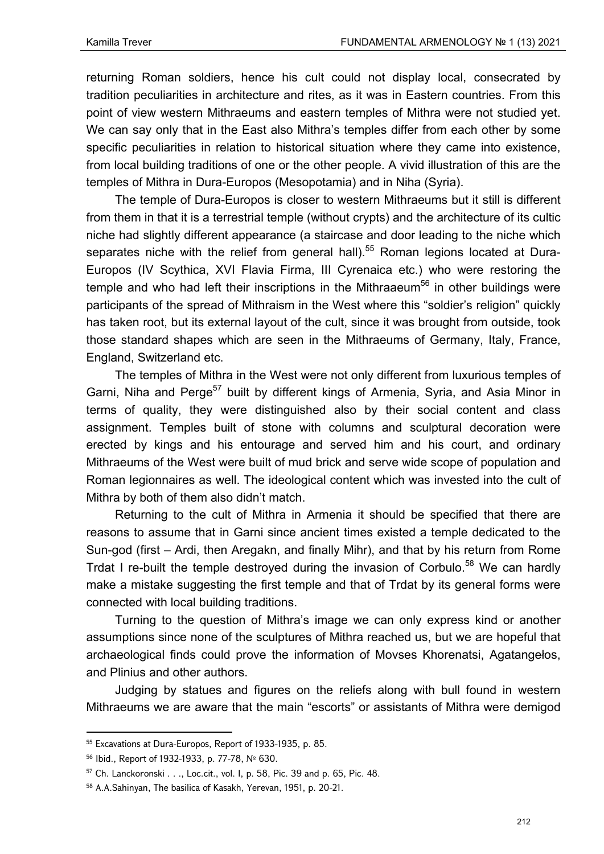returning Roman soldiers, hence his cult could not display local, consecrated by tradition peculiarities in architecture and rites, as it was in Eastern countries. From this point of view western Mithraeums and eastern temples of Mithra were not studied yet. We can say only that in the East also Mithra's temples differ from each other by some specific peculiarities in relation to historical situation where they came into existence, from local building traditions of one or the other people. A vivid illustration of this are the temples of Mithra in Dura-Europos (Mesopotamia) and in Niha (Syria).

The temple of Dura-Europos is closer to western Mithraeums but it still is different from them in that it is a terrestrial temple (without crypts) and the architecture of its cultic niche had slightly different appearance (a staircase and door leading to the niche which separates niche with the relief from general hall).<sup>55</sup> Roman legions located at Dura-Europos (IV Scythica, XVI Flavia Firma, III Cyrenaica etc.) who were restoring the temple and who had left their inscriptions in the Mithraaeum<sup>56</sup> in other buildings were participants of the spread of Mithraism in the West where this "soldier's religion" quickly has taken root, but its external layout of the cult, since it was brought from outside, took those standard shapes which are seen in the Mithraeums of Germany, Italy, France, England, Switzerland etc.

The temples of Mithra in the West were not only different from luxurious temples of Garni, Niha and Perge<sup>57</sup> built by different kings of Armenia, Syria, and Asia Minor in terms of quality, they were distinguished also by their social content and class assignment. Temples built of stone with columns and sculptural decoration were erected by kings and his entourage and served him and his court, and ordinary Mithraeums of the West were built of mud brick and serve wide scope of population and Roman legionnaires as well. The ideological content which was invested into the cult of Mithra by both of them also didn't match.

Returning to the cult of Mithra in Armenia it should be specified that there are reasons to assume that in Garni since ancient times existed a temple dedicated to the Sun-god (first – Ardi, then Aregakn, and finally Mihr), and that by his return from Rome Trdat I re-built the temple destroyed during the invasion of Corbulo.<sup>58</sup> We can hardly make a mistake suggesting the first temple and that of Trdat by its general forms were connected with local building traditions.

Turning to the question of Mithra's image we can only express kind or another assumptions since none of the sculptures of Mithra reached us, but we are hopeful that archaeological finds could prove the information of Movses Khorenatsi, Agatangełos, and Plinius and other authors.

Judging by statues and figures on the reliefs along with bull found in western Mithraeums we are aware that the main "escorts" or assistants of Mithra were demigod

<sup>55</sup> Excavations at Dura-Europos, Report of 1933-1935, p. 85.

<sup>56</sup> Ibid., Report of 1932-1933, p. 77-78, № 630.

 $57$  Ch. Lanckoronski  $\dots$ , Loc.cit., vol. I, p. 58, Pic. 39 and p. 65, Pic. 48.

<sup>58</sup> A.A.Sahinyan, The basilica of Kasakh, Yerevan, 1951, p. 20-21.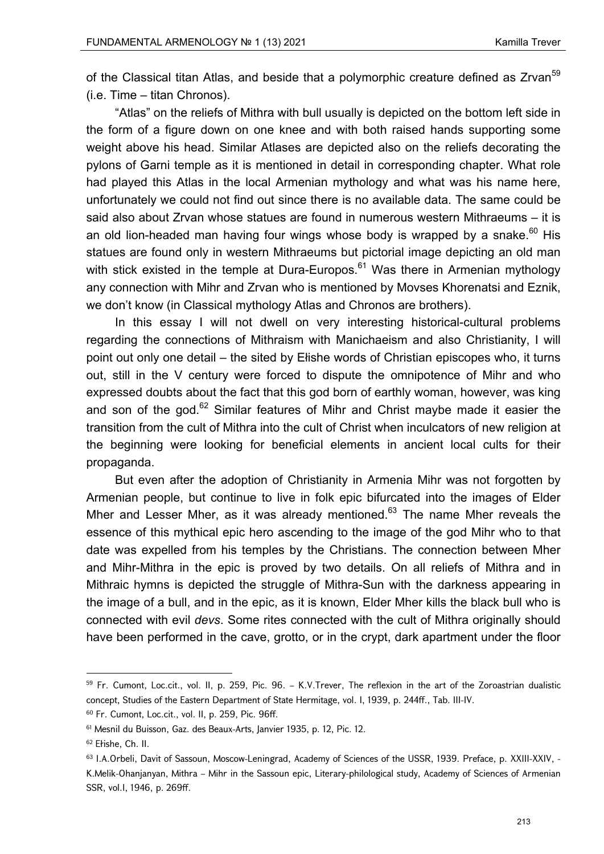of the Classical titan Atlas, and beside that a polymorphic creature defined as Zrvan<sup>59</sup> (i.e. Time – titan Chronos).

"Atlas" on the reliefs of Mithra with bull usually is depicted on the bottom left side in the form of a figure down on one knee and with both raised hands supporting some weight above his head. Similar Atlases are depicted also on the reliefs decorating the pylons of Garni temple as it is mentioned in detail in corresponding chapter. What role had played this Atlas in the local Armenian mythology and what was his name here, unfortunately we could not find out since there is no available data. The same could be said also about Zrvan whose statues are found in numerous western Mithraeums – it is an old lion-headed man having four wings whose body is wrapped by a snake. $^{60}$  His statues are found only in western Mithraeums but pictorial image depicting an old man with stick existed in the temple at Dura-Europos.<sup>61</sup> Was there in Armenian mythology any connection with Mihr and Zrvan who is mentioned by Movses Khorenatsi and Eznik, we don't know (in Classical mythology Atlas and Chronos are brothers).

In this essay I will not dwell on very interesting historical-cultural problems regarding the connections of Mithraism with Manichaeism and also Christianity, I will point out only one detail – the sited by Ełishe words of Christian episcopes who, it turns out, still in the V century were forced to dispute the omnipotence of Mihr and who expressed doubts about the fact that this god born of earthly woman, however, was king and son of the god. $62$  Similar features of Mihr and Christ maybe made it easier the transition from the cult of Mithra into the cult of Christ when inculcators of new religion at the beginning were looking for beneficial elements in ancient local cults for their propaganda.

But even after the adoption of Christianity in Armenia Mihr was not forgotten by Armenian people, but continue to live in folk epic bifurcated into the images of Elder Mher and Lesser Mher, as it was already mentioned. $63$  The name Mher reveals the essence of this mythical epic hero ascending to the image of the god Mihr who to that date was expelled from his temples by the Christians. The connection between Mher and Mihr-Mithra in the epic is proved by two details. On all reliefs of Mithra and in Mithraic hymns is depicted the struggle of Mithra-Sun with the darkness appearing in the image of a bull, and in the epic, as it is known, Elder Mher kills the black bull who is connected with evil *devs*. Some rites connected with the cult of Mithra originally should have been performed in the cave, grotto, or in the crypt, dark apartment under the floor

<sup>&</sup>lt;sup>59</sup> Fr. Cumont, Loc.cit., vol. II, p. 259, Pic. 96. – K.V.Trever, The reflexion in the art of the Zoroastrian dualistic concept, Studies of the Eastern Department of State Hermitage, vol. I, 1939, p. 244ff., Tab. III-IV.

<sup>60</sup> Fr. Cumont, Loc.cit., vol. II, p. 259, Pic. 96ff.

<sup>61</sup> Mesnil du Buisson, Gaz. des Beaux-Arts, Janvier 1935, p. 12, Pic. 12.

<sup>62</sup> Ełishe, Ch. II.

<sup>63</sup> I.A.Orbeli, Davit of Sassoun, Moscow-Leningrad, Academy of Sciences of the USSR, 1939. Preface, p. XXIII-XXIV, - K.Melik-Ohanjanyan, Mithra – Mihr in the Sassoun epic, Literary-philological study, Academy of Sciences of Armenian SSR, vol.I, 1946, p. 269ff.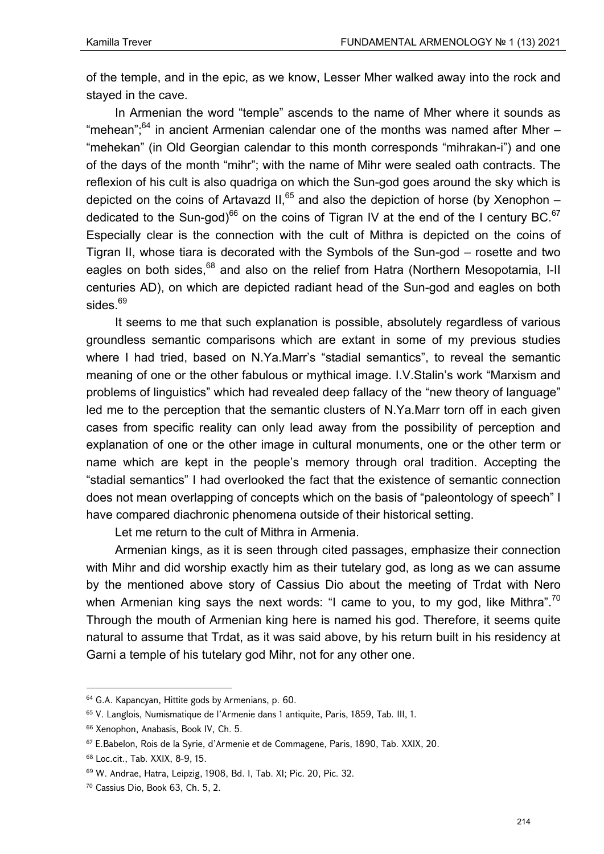of the temple, and in the epic, as we know, Lesser Mher walked away into the rock and stayed in the cave.

In Armenian the word "temple" ascends to the name of Mher where it sounds as "mehean"; $64$  in ancient Armenian calendar one of the months was named after Mher  $-$ "mehekan" (in Old Georgian calendar to this month corresponds "mihrakan-i") and one of the days of the month "mihr"; with the name of Mihr were sealed oath contracts. The reflexion of his cult is also quadriga on which the Sun-god goes around the sky which is depicted on the coins of Artavazd II, $^{65}$  and also the depiction of horse (by Xenophon – dedicated to the Sun-god)<sup>66</sup> on the coins of Tigran IV at the end of the I century BC.<sup>67</sup> Especially clear is the connection with the cult of Mithra is depicted on the coins of Tigran II, whose tiara is decorated with the Symbols of the Sun-god – rosette and two eagles on both sides,<sup>68</sup> and also on the relief from Hatra (Northern Mesopotamia, I-II centuries AD), on which are depicted radiant head of the Sun-god and eagles on both sides.<sup>69</sup>

It seems to me that such explanation is possible, absolutely regardless of various groundless semantic comparisons which are extant in some of my previous studies where I had tried, based on N.Ya.Marr's "stadial semantics", to reveal the semantic meaning of one or the other fabulous or mythical image. I.V.Stalin's work "Marxism and problems of linguistics" which had revealed deep fallacy of the "new theory of language" led me to the perception that the semantic clusters of N.Ya.Marr torn off in each given cases from specific reality can only lead away from the possibility of perception and explanation of one or the other image in cultural monuments, one or the other term or name which are kept in the people's memory through oral tradition. Accepting the "stadial semantics" I had overlooked the fact that the existence of semantic connection does not mean overlapping of concepts which on the basis of "paleontology of speech" I have compared diachronic phenomena outside of their historical setting.

Let me return to the cult of Mithra in Armenia.

Armenian kings, as it is seen through cited passages, emphasize their connection with Mihr and did worship exactly him as their tutelary god, as long as we can assume by the mentioned above story of Cassius Dio about the meeting of Trdat with Nero when Armenian king says the next words: "I came to you, to my god, like Mithra".<sup>70</sup> Through the mouth of Armenian king here is named his god. Therefore, it seems quite natural to assume that Trdat, as it was said above, by his return built in his residency at Garni a temple of his tutelary god Mihr, not for any other one.

<sup>64</sup> G.A. Kapancyan, Hittite gods by Armenians, p. 60.

<sup>65</sup> V. Langlоis, Numismatique de l'Armenie dans 1 antiquite, Paris, 1859, Tab. III, 1.

<sup>66</sup> Xenophon, Anabasis, Book IV, Ch. 5.

<sup>67</sup> E.Babelon, Rois de la Syrie, d'Armenie et de Commagene, Paris, 1890, Tab. XXIX, 20.

<sup>68</sup> Loc.cit., Tab. XXIX, 8-9, 15.

<sup>69</sup> W. Andrae, Hatra, Leipzig, 1908, Bd. I, Tab. XI; Pic. 20, Pic. 32.

<sup>70</sup> Cassius Dio, Book 63, Ch. 5, 2.